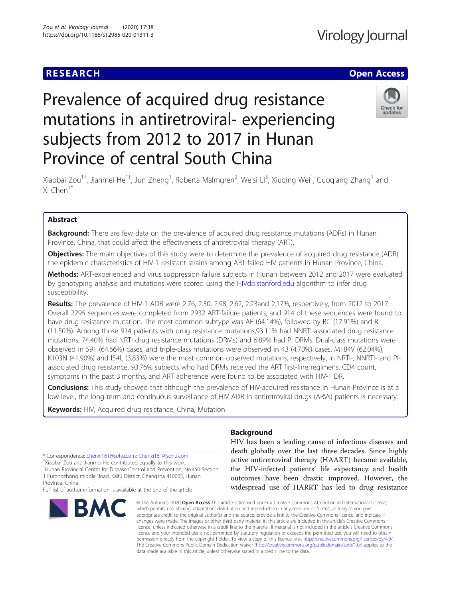# **RESEARCH CHE Open Access**

# Prevalence of acquired drug resistance mutations in antiretroviral- experiencing subjects from 2012 to 2017 in Hunan Province of central South China



Xiaobai Zou<sup>1†</sup>, Jianmei He<sup>1†</sup>, Jun Zheng<sup>1</sup>, Roberta Malmgren<sup>2</sup>, Weisi Li<sup>3</sup>, Xiuqing Wei<sup>1</sup>, Guoqiang Zhang<sup>1</sup> and Xi Chen $1^*$ 

# Abstract

**Background:** There are few data on the prevalence of acquired drug resistance mutations (ADRs) in Hunan Province, China, that could affect the effectiveness of antiretroviral therapy (ART).

Objectives: The main objectives of this study were to determine the prevalence of acquired drug resistance (ADR) the epidemic characteristics of HIV-1-resistant strains among ART-failed HIV patients in Hunan Province, China.

Methods: ART-experienced and virus suppression failure subjects in Hunan between 2012 and 2017 were evaluated by genotyping analysis and mutations were scored using the [HIVdb.stanford.edu](http://hivdb.stanford.edu) algorithm to infer drug susceptibility.

Results: The prevalence of HIV-1 ADR were 2.76, 2.30, 2.98, 2.62, 2.23and 2.17%, respectively, from 2012 to 2017. Overall 2295 sequences were completed from 2932 ART-failure patients, and 914 of these sequences were found to have drug resistance mutation. The most common subtype was AE (64.14%), followed by BC (17.91%) and B (11.50%). Among those 914 patients with drug resistance mutations,93.11% had NNRTI-associated drug resistance mutations, 74.40% had NRTI drug resistance mutations (DRMs) and 6.89% had PI DRMs. Dual-class mutations were observed in 591 (64.66%) cases, and triple-class mutations were observed in 43 (4.70%) cases. M184V (62.04%), K103N (41.90%) and I54L (3.83%) were the most common observed mutations, respectively, in NRTI-, NNRTI- and PIassociated drug resistance. 93.76% subjects who had DRMs received the ART first-line regimens. CD4 count, symptoms in the past 3 months, and ART adherence were found to be associated with HIV-1 DR.

Conclusions: This study showed that although the prevalence of HIV-acquired resistance in Hunan Province is at a low-level, the long-term and continuous surveillance of HIV ADR in antiretroviral drugs (ARVs) patients is necessary.

Keywords: HIV, Acquired drug resistance, China, Mutation

# Background

HIV has been a leading cause of infectious diseases and death globally over the last three decades. Since highly active antiretroviral therapy (HAART) became available, the HIV-infected patients' life expectancy and health outcomes have been drastic improved. However, the widespread use of HARRT has led to drug resistance

© The Author(s), 2020 **Open Access** This article is licensed under a Creative Commons Attribution 4.0 International License, which permits use, sharing, adaptation, distribution and reproduction in any medium or format, as long as you give appropriate credit to the original author(s) and the source, provide a link to the Creative Commons licence, and indicate if changes were made. The images or other third party material in this article are included in the article's Creative Commons licence, unless indicated otherwise in a credit line to the material. If material is not included in the article's Creative Commons licence and your intended use is not permitted by statutory regulation or exceeds the permitted use, you will need to obtain permission directly from the copyright holder. To view a copy of this licence, visit [http://creativecommons.org/licenses/by/4.0/.](http://creativecommons.org/licenses/by/4.0/) The Creative Commons Public Domain Dedication waiver [\(http://creativecommons.org/publicdomain/zero/1.0/](http://creativecommons.org/publicdomain/zero/1.0/)) applies to the data made available in this article, unless otherwise stated in a credit line to the data.

\* Correspondence: [chenxi161@sohu.com;](mailto:chenxi161@sohu.com) [Chenxi161@sohu.com](mailto:Chenxi161@sohu.com) †

 $^\dagger$ Xiaobai Zou and Jianmei He contributed equally to this work.

<sup>1</sup>Hunan Provincial Center for Disease Control and Prevention, No.450 Section 1 Furongzhong middle Road, Kaifu District, Changsha 410005, Hunan Province, China

Full list of author information is available at the end of the article

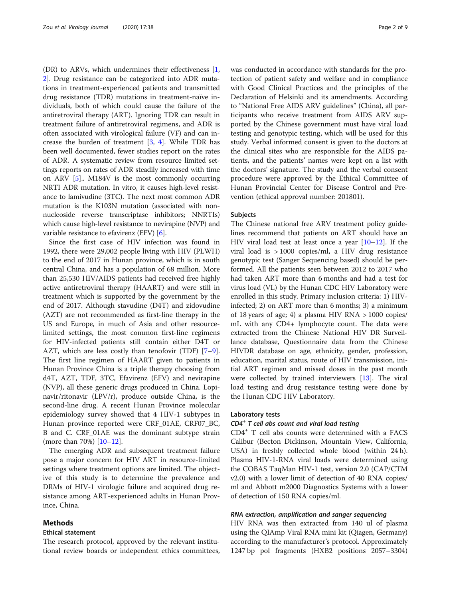(DR) to ARVs, which undermines their effectiveness [\[1](#page-8-0), [2\]](#page-8-0). Drug resistance can be categorized into ADR mutations in treatment-experienced patients and transmitted drug resistance (TDR) mutations in treatment-naïve individuals, both of which could cause the failure of the antiretroviral therapy (ART). Ignoring TDR can result in treatment failure of antiretroviral regimens, and ADR is often associated with virological failure (VF) and can increase the burden of treatment  $[3, 4]$  $[3, 4]$  $[3, 4]$ . While TDR has been well documented, fewer studies report on the rates of ADR. A systematic review from resource limited settings reports on rates of ADR steadily increased with time on ARV [\[5](#page-8-0)].. M184V is the most commonly occurring NRTI ADR mutation. In vitro, it causes high-level resistance to lamivudine (3TC). The next most common ADR mutation is the K103N mutation (associated with nonnucleoside reverse transcriptase inhibitors; NNRTIs) which cause high-level resistance to nevirapine (NVP) and variable resistance to efavirenz (EFV) [\[6\]](#page-8-0).

Since the first case of HIV infection was found in 1992, there were 29,002 people living with HIV (PLWH) to the end of 2017 in Hunan province, which is in south central China, and has a population of 68 million. More than 25,530 HIV/AIDS patients had received free highly active antiretroviral therapy (HAART) and were still in treatment which is supported by the government by the end of 2017. Although stavudine (D4T) and zidovudine (AZT) are not recommended as first-line therapy in the US and Europe, in much of Asia and other resourcelimited settings, the most common first-line regimens for HIV-infected patients still contain either D4T or AZT, which are less costly than tenofovir (TDF) [\[7](#page-8-0)–[9](#page-8-0)]. The first line regimen of HAART given to patients in Hunan Province China is a triple therapy choosing from d4T, AZT, TDF, 3TC, Efavirenz (EFV) and nevirapine (NVP), all these generic drugs produced in China. Lopinavir/ritonavir (LPV/r), produce outside China, is the second-line drug. A recent Hunan Province molecular epidemiology survey showed that 4 HIV-1 subtypes in Hunan province reported were CRF\_01AE, CRF07\_BC, B and C. CRF\_01AE was the dominant subtype strain (more than 70%) [\[10](#page-8-0)–[12\]](#page-8-0).

The emerging ADR and subsequent treatment failure pose a major concern for HIV ART in resource-limited settings where treatment options are limited. The objective of this study is to determine the prevalence and DRMs of HIV-1 virologic failure and acquired drug resistance among ART-experienced adults in Hunan Province, China.

#### Methods

# Ethical statement

The research protocol, approved by the relevant institutional review boards or independent ethics committees, was conducted in accordance with standards for the protection of patient safety and welfare and in compliance with Good Clinical Practices and the principles of the Declaration of Helsinki and its amendments. According to "National Free AIDS ARV guidelines" (China), all participants who receive treatment from AIDS ARV supported by the Chinese government must have viral load testing and genotypic testing, which will be used for this study. Verbal informed consent is given to the doctors at the clinical sites who are responsible for the AIDS patients, and the patients' names were kept on a list with the doctors' signature. The study and the verbal consent procedure were approved by the Ethical Committee of Hunan Provincial Center for Disease Control and Prevention (ethical approval number: 201801).

# Subjects

The Chinese national free ARV treatment policy guidelines recommend that patients on ART should have an HIV viral load test at least once a year  $[10-12]$  $[10-12]$  $[10-12]$ . If the viral load is > 1000 copies/ml, a HIV drug resistance genotypic test (Sanger Sequencing based) should be performed. All the patients seen between 2012 to 2017 who had taken ART more than 6 months and had a test for virus load (VL) by the Hunan CDC HIV Laboratory were enrolled in this study. Primary inclusion criteria: 1) HIVinfected; 2) on ART more than 6 months; 3) a minimum of 18 years of age; 4) a plasma HIV RNA > 1000 copies/ mL with any CD4+ lymphocyte count. The data were extracted from the Chinese National HIV DR Surveillance database, Questionnaire data from the Chinese HIVDR database on age, ethnicity, gender, profession, education, marital status, route of HIV transmission, initial ART regimen and missed doses in the past month were collected by trained interviewers [[13](#page-8-0)]. The viral load testing and drug resistance testing were done by the Hunan CDC HIV Laboratory.

# Laboratory tests

## $CD4<sup>+</sup>$  T cell abs count and viral load testing

CD4<sup>+</sup> T cell abs counts were determined with a FACS Calibur (Becton Dickinson, Mountain View, California, USA) in freshly collected whole blood (within 24 h). Plasma HIV-1-RNA viral loads were determined using the COBAS TaqMan HIV-1 test, version 2.0 (CAP/CTM v2.0) with a lower limit of detection of 40 RNA copies/ ml and Abbott m2000 Diagnostics Systems with a lower of detection of 150 RNA copies/ml.

### RNA extraction, amplification and sanger sequencing

HIV RNA was then extracted from 140 ul of plasma using the QIAmp Viral RNA mini kit (Qiagen, Germany) according to the manufacturer's protocol. Approximately 1247 bp pol fragments (HXB2 positions 2057–3304)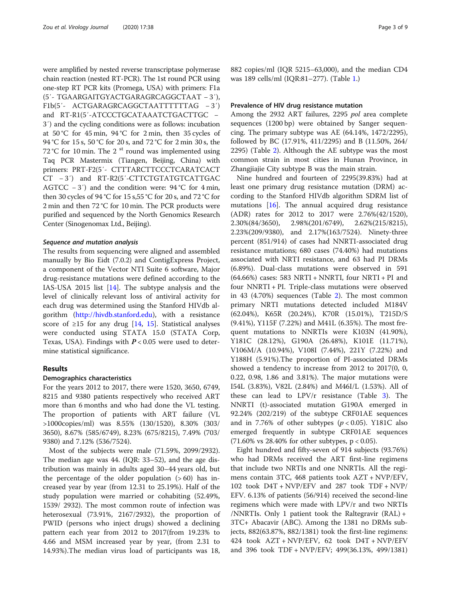were amplified by nested reverse transcriptase polymerase chain reaction (nested RT-PCR). The 1st round PCR using one-step RT PCR kits (Promega, USA) with primers: F1a (5′- TGAARGAITGYACTGARAGRCAGGCTAAT − 3′), F1b(5′- ACTGARAGRCAGGCTAATTTTTTAG − 3′) and RT-R1(5'-ATCCCTGCATAAATCTGACTTGC − 3′) and the cycling conditions were as follows: incubation at  $50^{\circ}$ C for  $45$  min,  $94^{\circ}$ C for  $2$  min, then  $35$  cycles of 94 °C for 15 s, 50 °C for 20 s, and 72 °C for 2 min 30 s, the 72 °C for 10 min. The 2 $s$ <sup>t</sup> round was implemented using Taq PCR Mastermix (Tiangen, Beijing, China) with primers: PRT-F2(5′- CTTTARCTTCCCTCARATCACT CT − 3′) and RT-R2(5′-CTTCTGTATGTCATTGAC AGTCC  $-3'$ ) and the condition were: 94 °C for 4 min, then 30 cycles of 94 °C for 15 s,55 °C for 20 s, and 72 °C for 2 min and then 72 °C for 10 min. The PCR products were purified and sequenced by the North Genomics Research Center (Sinogenomax Ltd., Beijing).

### Sequence and mutation analysis

The results from sequencing were aligned and assembled manually by Bio Eidt (7.0.2) and ContigExpress Project, a component of the Vector NTI Suite 6 software, Major drug-resistance mutations were defined according to the IAS-USA 2015 list [\[14\]](#page-8-0). The subtype analysis and the level of clinically relevant loss of antiviral activity for each drug was determined using the Stanford HIVdb algorithm (<http://hivdb.stanford.edu>), with a resistance score of  $\geq$ 15 for any drug [\[14,](#page-8-0) [15\]](#page-8-0). Statistical analyses were conducted using STATA 15.0 (STATA Corp, Texas, USA). Findings with  $P < 0.05$  were used to determine statistical significance.

# Results

# Demographics characteristics

For the years 2012 to 2017, there were 1520, 3650, 6749, 8215 and 9380 patients respectively who received ART more than 6 months and who had done the VL testing. The proportion of patients with ART failure (VL >1000copies/ml) was 8.55% (130/1520), 8.30% (303/ 3650), 8.67% (585/6749), 8.23% (675/8215), 7.49% (703/ 9380) and 7.12% (536/7524).

Most of the subjects were male (71.59%, 2099/2932). The median age was 44. (IQR: 33–52), and the age distribution was mainly in adults aged 30–44 years old, but the percentage of the older population  $(>60)$  has increased year by year (from 12.31 to 25.19%). Half of the study population were married or cohabiting (52.49%, 1539/ 2932). The most common route of infection was heterosexual (73.91%, 2167/2932), the proportion of PWID (persons who inject drugs) showed a declining pattern each year from 2012 to 2017(from 19.23% to 4.66 and MSM increased year by year, (from 2.31 to 14.93%).The median virus load of participants was 18, 882 copies/ml (IQR 5215–63,000), and the median CD4 was 189 cells/ml (IQR:81–277). (Table [1](#page-3-0).)

#### Prevalence of HIV drug resistance mutation

Among the 2932 ART failures, 2295 pol area complete sequences (1200 bp) were obtained by Sanger sequencing. The primary subtype was AE (64.14%, 1472/2295), followed by BC (17.91%, 411/2295) and B (11.50%, 264/ 2295) (Table [2\)](#page-4-0). Although the AE subtype was the most common strain in most cities in Hunan Province, in Zhangjiajie City subtype B was the main strain.

Nine hundred and fourteen of 2295(39.83%) had at least one primary drug resistance mutation (DRM) according to the Stanford HIVdb algorithm SDRM list of mutations  $[16]$ . The annual acquired drug resistance (ADR) rates for 2012 to 2017 were 2.76%(42/1520), 2.30%(84/3650), 2.98%(201/6749), 2.62%(215/8215), 2.23%(209/9380), and 2.17%(163/7524). Ninety-three percent (851/914) of cases had NNRTI-associated drug resistance mutations; 680 cases (74.40%) had mutations associated with NRTI resistance, and 63 had PI DRMs (6.89%). Dual-class mutations were observed in 591  $(64.66%)$  cases: 583 NRTI + NNRTI, four NRTI + PI and four NNRTI + PI. Triple-class mutations were observed in 43 (4.70%) sequences (Table [2](#page-4-0)). The most common primary NRTI mutations detected included M184V (62.04%), K65R (20.24%), K70R (15.01%), T215D/S (9.41%), Y115F (7.22%) and M41L (6.35%). The most frequent mutations to NNRTIs were K103N (41.90%), Y181C (28.12%), G190A (26.48%), K101E (11.71%), V106M/A (10.94%), V108I (7.44%), 221Y (7.22%) and Y188H (5.91%).The proportion of PI-associated DRMs showed a tendency to increase from 2012 to 2017(0, 0, 0.22, 0.98, 1.86 and 3.81%). The major mutations were I54L (3.83%), V82L (2.84%) and M46I/L (1.53%). All of these can lead to LPV/r resistance (Table [3](#page-5-0)). The NNRTI (t)-associated mutation G190A emerged in 92.24% (202/219) of the subtype CRF01AE sequences and in 7.76% of other subtypes  $(p < 0.05)$ . Y181C also emerged frequently in subtype CRF01AE sequences (71.60% vs 28.40% for other subtypes, p < 0.05).

Eight hundred and fifty-seven of 914 subjects (93.76%) who had DRMs received the ART first-line regimens that include two NRTIs and one NNRTIs. All the regimens contain 3TC, 468 patients took AZT + NVP/EFV, 102 took D4T + NVP/EFV and 287 took TDF + NVP/ EFV. 6.13% of patients (56/914) received the second-line regimens which were made with LPV/r and two NRTIs /NNRTIs. Only 1 patient took the Raltegravir (RAL) + 3TC+ Abacavir (ABC). Among the 1381 no DRMs subjects, 882(63.87%, 882/1381) took the first-line regimens: 424 took AZT + NVP/EFV, 62 took D4T + NVP/EFV and 396 took TDF + NVP/EFV; 499(36.13%, 499/1381)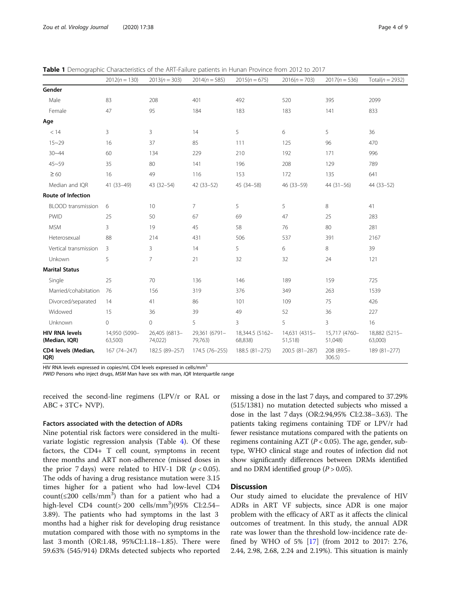<span id="page-3-0"></span>Table 1 Demographic Characteristics of the ART-Failure patients in Hunan Province from 2012 to 2017

|                                        | $2012(n = 130)$          | $2013(n = 303)$          | $2014(n = 585)$          | $2015(n = 675)$            | $2016(n = 703)$          | $2017(n = 536)$          | Total( $n = 2932$ )      |
|----------------------------------------|--------------------------|--------------------------|--------------------------|----------------------------|--------------------------|--------------------------|--------------------------|
| Gender                                 |                          |                          |                          |                            |                          |                          |                          |
| Male                                   | 83                       | 208                      | 401                      | 492                        | 395<br>520               |                          | 2099                     |
| Female                                 | 47                       | 95                       | 184                      | 183                        | 183                      | 141                      | 833                      |
| Age                                    |                          |                          |                          |                            |                          |                          |                          |
| < 14                                   | 3                        | 3                        | 14                       | 5                          | 6                        | 5                        | 36                       |
| $15 - 29$                              | 16                       | 37                       | 85                       | 111                        | 125                      | 96                       | 470                      |
| $30 - 44$                              | 60                       | 134                      | 229                      | 210                        | 192                      | 171                      | 996                      |
| $45 - 59$                              | 35                       | 80                       | 141                      | 196                        | 208                      | 129                      | 789                      |
| $\geq 60$                              | 16                       | 49                       | 116                      | 153                        | 172                      | 135                      | 641                      |
| Median and IQR                         | 41 (33-49)               | 43 (32-54)               | $42(33-52)$              | 45 (34-58)                 | 46 (33-59)               | $44(31 - 56)$            | 44 (33-52)               |
| <b>Route of Infection</b>              |                          |                          |                          |                            |                          |                          |                          |
| <b>BLOOD</b> transmission              | 6                        | 10                       | $\overline{7}$           | 5                          | 5                        | 8                        | 41                       |
| <b>PWID</b>                            | 25                       | 50                       | 67                       | 69                         | 47                       | 25                       | 283                      |
| <b>MSM</b>                             | 3                        | 19                       | 45                       | 58                         | 76                       | 80                       | 281                      |
| Heterosexual                           | 88                       | 214                      | 431                      | 506                        | 537                      | 391                      | 2167                     |
| Vertical transmission                  | 3                        | 3                        | 14                       | 5                          | 6                        | 8                        | 39                       |
| Unkown                                 | 5                        | 7                        | 21                       | 32                         | 32                       | 24                       | 121                      |
| <b>Marital Status</b>                  |                          |                          |                          |                            |                          |                          |                          |
| Single                                 | 25                       | 70                       | 136                      | 146                        | 189                      | 159                      | 725                      |
| Married/cohabitation                   | 76                       | 156                      | 319                      | 376                        | 349                      | 263                      | 1539                     |
| Divorced/separated                     | 14                       | 41                       | 86                       | 101                        | 109                      | 75                       | 426                      |
| Widowed                                | 15                       | 36                       | 39                       | 49                         | 52                       | 36                       | 227                      |
| Unknown                                | $\overline{0}$           | $\overline{0}$           | 5                        | 3                          | 5                        | 3                        | 16                       |
| <b>HIV RNA levels</b><br>(Median, IQR) | 14,950 (5090-<br>63,500) | 26,405 (6813-<br>74,022) | 29,361 (6791-<br>79,763) | 18,344.5 (5162-<br>68,838) | 14,631 (4315-<br>51,518) | 15,717 (4760-<br>51,048) | 18,882 (5215-<br>63,000) |
| CD4 levels (Median,<br>IQR)            | 167 (74-247)             | 182.5 (89-257)           | 174.5 (76-255)           | 188.5 (81-275)             | 200.5 (81-287)           | 208 (89.5-<br>306.5)     | 189 (81-277)             |

HIV RNA levels expressed in copies/ml, CD4 levels expressed in cells/mm<sup>3</sup>

PWID Persons who inject drugs, MSM Man have sex with man, IQR Interquartile range

received the second-line regimens (LPV/r or RAL or  $ABC + 3TC + NVP$ .

# Factors associated with the detection of ADRs

Nine potential risk factors were considered in the multivariate logistic regression analysis (Table [4](#page-6-0)). Of these factors, the CD4+ T cell count, symptoms in recent three months and ART non-adherence (missed doses in the prior 7 days) were related to HIV-1 DR  $(p < 0.05)$ . The odds of having a drug resistance mutation were 3.15 times higher for a patient who had low-level CD4  $count(\leq 200 \text{ cells/mm}^3)$  than for a patient who had a high-level CD4 count(> 200 cells/mm<sup>3</sup>)(95% CI:2.54– 3.89). The patients who had symptoms in the last 3 months had a higher risk for developing drug resistance mutation compared with those with no symptoms in the last 3 month (OR:1.48, 95%CI:1.18–1.85). There were 59.63% (545/914) DRMs detected subjects who reported missing a dose in the last 7 days, and compared to 37.29% (515/1381) no mutation detected subjects who missed a dose in the last 7 days (OR:2.94,95% CI:2.38–3.63). The patients taking regimens containing TDF or LPV/r had fewer resistance mutations compared with the patients on regimens containing AZT ( $P < 0.05$ ). The age, gender, subtype, WHO clinical stage and routes of infection did not show significantly differences between DRMs identified and no DRM identified group ( $P > 0.05$ ).

# **Discussion**

Our study aimed to elucidate the prevalence of HIV ADRs in ART VF subjects, since ADR is one major problem with the efficacy of ART as it affects the clinical outcomes of treatment. In this study, the annual ADR rate was lower than the threshold low-incidence rate defined by WHO of 5% [\[17](#page-8-0)] (from 2012 to 2017: 2.76, 2.44, 2.98, 2.68, 2.24 and 2.19%). This situation is mainly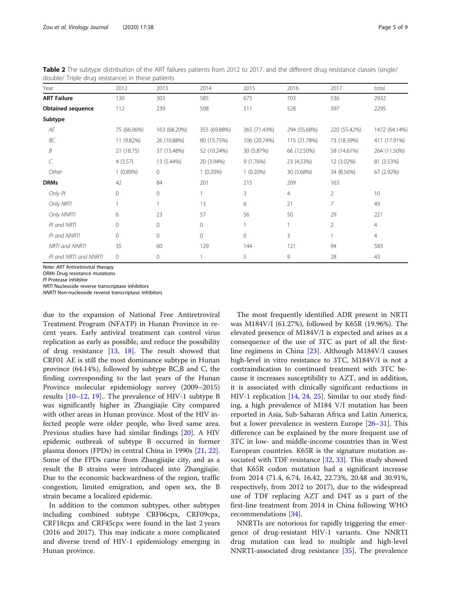| <b>ART Failure</b>       | 130          | 303          | 585          | 675          | 703          | 536            | 2932          |
|--------------------------|--------------|--------------|--------------|--------------|--------------|----------------|---------------|
| <b>Obtained sequence</b> | 112          | 239          | 508          | 511          | 528          | 397            | 2295          |
| Subtype                  |              |              |              |              |              |                |               |
| АE                       | 75 (66.96%)  | 163 (68.20%) | 355 (69.88%) | 365 (71.43%) | 294 (55.68%) | 220 (55.42%)   | 1472 (64.14%) |
| BC                       | 11 (9.82%)   | 26 (10.88%)  | 80 (15.75%)  | 106 (20.74%) | 115 (21.78%) | 73 (18.39%)    | 411 (17.91%)  |
| B                        | 21 (18.75)   | 37 (15.48%)  | 52 (10.24%)  | 30 (5.87%)   | 66 (12.50%)  | 58 (14.61%)    | 264 (11.50%)  |
| C                        | 4(3.57)      | 13 (5.44%)   | 20 (3.94%)   | 9(1.76%)     | 23 (4.53%)   | 12 (3.02%)     | 81 (3.53%)    |
| Other                    | $1(0.89\%)$  | $\circ$      | $1(0.20\%)$  | $1(0.20\%)$  | 30 (5.68%)   | 34 (8.56%)     | 67 (2.92%)    |
| <b>DRMs</b>              | 42           | 84           | 201          | 215          | 209          | 163            |               |
| Only PI                  | $\mathbf{0}$ | $\mathbf 0$  |              | 3            | 4            | $\overline{2}$ | 10            |
| Only NRTI                |              |              | 13           | 6            | 21           | 7              | 49            |
| <b>Only NNRTI</b>        | 6            | 23           | 57           | 56           | 50           | 29             | 221           |
| PI and NRTI              | $\Omega$     | $\mathbf 0$  | $\mathbf{0}$ |              |              | $\overline{2}$ | 4             |
| PI and NNRTI             | $\mathbf{0}$ | $\mathbf{0}$ | $\mathbf 0$  | $\mathbf{0}$ | 3            |                | 4             |
| NRTI and NNRTI           | 35           | 60           | 129          | 144          | 121          | 94             | 583           |
| PI and NRTI and NNRTI    | $\mathbf{0}$ | 0            |              | 5            | 9            | 28             | 43            |

<span id="page-4-0"></span>Table 2 The subtype distribution of the ART failures patients from 2012 to 2017. and the different drug resistance classes (single/ double/ Triple drug resistance) in these patients

Note: ART Antiretroviral therapy

DRMs Drug resistance mutations<br>PLP rotease inhibitor

*PI* Protease inhibitor<br>NRTI Nucleoside rev

*NRTI* Nucleoside reverse transcriptase inhibitors<br>NNRTI Non-nucleoside reverse transcriptase inh

NNRTI Non-nucleoside reverse transcriptase inhibitors

due to the expansion of National Free Antiretroviral Treatment Program (NFATP) in Hunan Province in recent years. Early antiviral treatment can control virus replication as early as possible, and reduce the possibility of drug resistance [[13,](#page-8-0) [18\]](#page-8-0). The result showed that CRF01 AE is still the most dominance subtype in Hunan province (64.14%), followed by subtype BC,B and C, the finding corresponding to the last years of the Hunan Province molecular epidemiology survey (2009–2015) results [\[10](#page-8-0)–[12,](#page-8-0) [19](#page-8-0)].. The prevalence of HIV-1 subtype B was significantly higher in Zhangjiajie City compared with other areas in Hunan province. Most of the HIV infected people were older people, who lived same area. Previous studies have had similar findings [\[20](#page-8-0)]. A HIV epidemic outbreak of subtype B occurred in former plasma donors (FPDs) in central China in 1990s [\[21](#page-8-0), [22](#page-8-0)]. Some of the FPDs came from Zhangjiajie city, and as a result the B strains were introduced into Zhangjiajie. Due to the economic backwardness of the region, traffic congestion, limited emigration, and open sex, the B strain became a localized epidemic.

In addition to the common subtypes, other subtypes including combined subtype CRF06cpx, CRF09cpx, CRF18cpx and CRF45cpx were found in the last 2 years (2016 and 2017). This may indicate a more complicated and diverse trend of HIV-1 epidemiology emerging in Hunan province.

The most frequently identified ADR present in NRTI was M184V/I (61.27%), followed by K65R (19.96%). The elevated presence of M184V/I is expected and arises as a consequence of the use of 3TC as part of all the firstline regimens in China [[23\]](#page-8-0). Although M184V/I causes high-level in vitro resistance to 3TC, M184V/I is not a contraindication to continued treatment with 3TC because it increases susceptibility to AZT, and in addition, it is associated with clinically significant reductions in HIV-1 replication [[14,](#page-8-0) [24,](#page-8-0) [25](#page-8-0)]. Similar to our study finding, a high prevalence of M184 V/I mutation has been reported in Asia, Sub-Saharan Africa and Latin America, but a lower prevalence in western Europe [[26](#page-8-0)–[31](#page-8-0)]. This difference can be explained by the more frequent use of 3TC in low- and middle-income countries than in West European countries. K65R is the signature mutation associated with TDF resistance [\[32,](#page-8-0) [33\]](#page-8-0). This study showed that K65R codon mutation had a significant increase from 2014 (71.4, 6.74, 16.42, 22.73%, 20.48 and 30.91%, respectively, from 2012 to 2017), due to the widespread use of TDF replacing AZT and D4T as a part of the first-line treatment from 2014 in China following WHO recommendations [\[34](#page-8-0)].

NNRTIs are notorious for rapidly triggering the emergence of drug-resistant HIV-1 variants. One NNRTI drug mutation can lead to multiple and high-level NNRTI-associated drug resistance [\[35](#page-8-0)]. The prevalence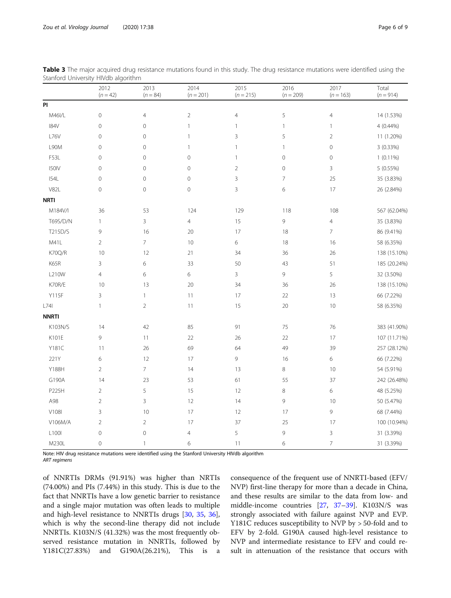|              | 2012<br>$(n = 42)$ | 2013<br>$(n = 84)$ | 2014<br>$(n = 201)$ | 2015<br>$(n = 215)$ | 2016<br>$(n = 209)$ | 2017<br>$(n = 163)$ | Total<br>$(n = 914)$ |
|--------------|--------------------|--------------------|---------------------|---------------------|---------------------|---------------------|----------------------|
| PI           |                    |                    |                     |                     |                     |                     |                      |
| M46I/L       | $\mathbf 0$        | $\overline{4}$     | $\overline{2}$      | $\overline{4}$      | 5                   | $\overline{4}$      | 14 (1.53%)           |
| <b>184V</b>  | $\mathbf 0$        | $\mathbf 0$        | $\mathbf{1}$        | $\mathbf{1}$        | $\mathbb{1}$        | $\mathbf{1}$        | 4 (0.44%)            |
| <b>L76V</b>  | $\mathbf 0$        | $\mathbf 0$        | 1                   | $\mathsf 3$         | 5                   | $\overline{2}$      | 11 (1.20%)           |
| L90M         | $\mathbf 0$        | $\mathbf 0$        | 1                   | $\mathbf{1}$        | $\mathbf{1}$        | $\mathbf 0$         | 3 (0.33%)            |
| F53L         | $\mathbf 0$        | $\mathbf 0$        | $\mathbf 0$         | $\mathbf{1}$        | $\mathbf 0$         | $\mathbb O$         | $1(0.11\%)$          |
| I50IV        | $\mathbf 0$        | $\overline{0}$     | $\mathsf{O}\xspace$ | $\sqrt{2}$          | 0                   | 3                   | 5 (0.55%)            |
| 54           | $\mathbf 0$        | $\mathbf 0$        | $\mathbf 0$         | 3                   | 7                   | 25                  | 35 (3.83%)           |
| <b>V82L</b>  | $\mathbf 0$        | $\mathbf 0$        | $\mathbf 0$         | $\mathsf 3$         | 6                   | 17                  | 26 (2.84%)           |
| <b>NRTI</b>  |                    |                    |                     |                     |                     |                     |                      |
| M184V/I      | 36                 | 53                 | 124                 | 129                 | 118                 | 108                 | 567 (62.04%)         |
| T69S/D/N     | $\mathbf{1}$       | $\mathbf{3}$       | $\overline{4}$      | 15                  | 9                   | $\overline{4}$      | 35 (3.83%)           |
| T215D/S      | 9                  | 16                 | 20                  | 17                  | $18\,$              | $\overline{7}$      | 86 (9.41%)           |
| M41L         | $\sqrt{2}$         | $\overline{7}$     | 10                  | 6                   | 18                  | 16                  | 58 (6.35%)           |
| K70Q/R       | 10                 | 12                 | 21                  | 34                  | 36                  | 26                  | 138 (15.10%)         |
| K65R         | 3                  | 6                  | 33                  | 50                  | 43                  | 51                  | 185 (20.24%)         |
| L210W        | $\overline{4}$     | $\epsilon$         | 6                   | 3                   | 9                   | 5                   | 32 (3.50%)           |
| K70R/E       | 10                 | 13                 | 20                  | 34                  | 36                  | 26                  | 138 (15.10%)         |
| Y115F        | 3                  | $\mathbf{1}$       | 11                  | 17                  | 22                  | 13                  | 66 (7.22%)           |
| L74          | $\mathbf{1}$       | $\overline{2}$     | 11                  | 15                  | $20\,$              | 10                  | 58 (6.35%)           |
| <b>NNRTI</b> |                    |                    |                     |                     |                     |                     |                      |
| K103N/S      | 14                 | 42                 | 85                  | 91                  | 75                  | 76                  | 383 (41.90%)         |
| K101E        | 9                  | 11                 | 22                  | 26                  | 22                  | 17                  | 107 (11.71%)         |
| Y181C        | 11                 | 26                 | 69                  | 64                  | 49                  | 39                  | 257 (28.12%)         |
| 221Y         | 6                  | 12                 | 17                  | 9                   | 16                  | 6                   | 66 (7.22%)           |
| Y188H        | $\sqrt{2}$         | $\overline{7}$     | 14                  | 13                  | 8                   | 10                  | 54 (5.91%)           |
| G190A        | 14                 | 23                 | 53                  | 61                  | 55                  | 37                  | 242 (26.48%)         |
| P225H        | $\overline{2}$     | 5                  | 15                  | 12                  | 8                   | 6                   | 48 (5.25%)           |
| A98          | $\sqrt{2}$         | $\mathbf{3}$       | 12                  | 14                  | 9                   | 10                  | 50 (5.47%)           |
| V108         | 3                  | 10                 | 17                  | 12                  | $17\,$              | 9                   | 68 (7.44%)           |
| V106M/A      | $\overline{2}$     | $\overline{2}$     | 17                  | 37                  | 25                  | 17                  | 100 (10.94%)         |
| L100l        | 0                  | $\mathbf 0$        | $\overline{4}$      | 5                   | 9                   | 3                   | 31 (3.39%)           |
| M230L        | $\mathbf 0$        | $\mathbf{1}$       | 6                   | 11                  | 6                   | $\overline{7}$      | 31 (3.39%)           |

<span id="page-5-0"></span>Table 3 The major acquired drug resistance mutations found in this study. The drug resistance mutations were identified using the Stanford University HIVdb algorithm

Note: HIV drug resistance mutations were identified using the Stanford University HIVdb algorithm ART regimens

of NNRTIs DRMs (91.91%) was higher than NRTIs (74.00%) and PIs (7.44%) in this study. This is due to the fact that NNRTIs have a low genetic barrier to resistance and a single major mutation was often leads to multiple and high-level resistance to NNRTIs drugs [[30,](#page-8-0) [35](#page-8-0), [36](#page-8-0)], which is why the second-line therapy did not include NNRTIs. K103N/S (41.32%) was the most frequently observed resistance mutation in NNRTIs, followed by Y181C(27.83%) and G190A(26.21%), This is a

consequence of the frequent use of NNRTI-based (EFV/ NVP) first-line therapy for more than a decade in China, and these results are similar to the data from low- and middle-income countries [[27,](#page-8-0) [37](#page-8-0)–[39\]](#page-8-0). K103N/S was strongly associated with failure against NVP and EVP. Y181C reduces susceptibility to NVP by > 50-fold and to EFV by 2-fold. G190A caused high-level resistance to NVP and intermediate resistance to EFV and could result in attenuation of the resistance that occurs with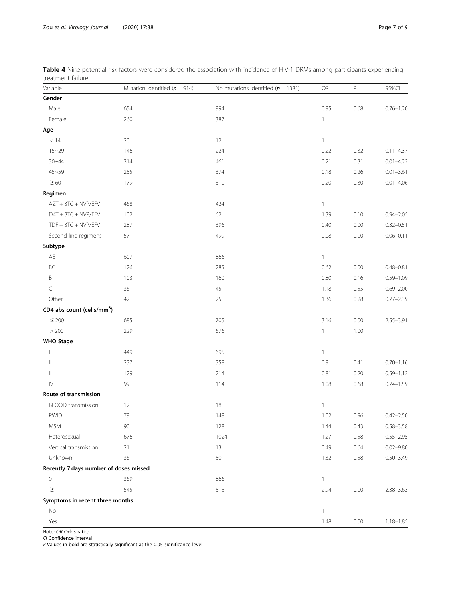| Variable                               | Mutation identified $(n = 914)$ | No mutations identified $(n = 1381)$ | OR           | P    | 95%Cl         |
|----------------------------------------|---------------------------------|--------------------------------------|--------------|------|---------------|
| Gender                                 |                                 |                                      |              |      |               |
| Male                                   | 654                             | 994                                  | 0.95         | 0.68 | $0.76 - 1.20$ |
| Female                                 | 260                             | 387                                  | $\mathbf{1}$ |      |               |
| Age                                    |                                 |                                      |              |      |               |
| $<14\,$                                | 20                              | 12                                   | $\mathbf{1}$ |      |               |
| $15 - 29$                              | 146                             | 224                                  | 0.22         | 0.32 | $0.11 - 4.37$ |
| $30 - 44$                              | 314                             | 461                                  | 0.21         | 0.31 | $0.01 - 4.22$ |
| $45 - 59$                              | 255                             | 374                                  | 0.18         | 0.26 | $0.01 - 3.61$ |
| $\geq 60$                              | 179                             | 310                                  | 0.20         | 0.30 | $0.01 - 4.06$ |
| Regimen                                |                                 |                                      |              |      |               |
| AZT + 3TC + NVP/EFV                    | 468                             | 424                                  | $\mathbf{1}$ |      |               |
| D4T + 3TC + NVP/EFV                    | 102                             | 62                                   | 1.39         | 0.10 | $0.94 - 2.05$ |
| TDF + 3TC + NVP/EFV                    | 287                             | 396                                  | 0.40         | 0.00 | $0.32 - 0.51$ |
| Second line regimens                   | 57                              | 499                                  | 0.08         | 0.00 | $0.06 - 0.11$ |
| Subtype                                |                                 |                                      |              |      |               |
| $\mathsf{AE}$                          | 607                             | 866                                  | $\mathbf{1}$ |      |               |
| BC                                     | 126                             | 285                                  | 0.62         | 0.00 | $0.48 - 0.81$ |
| Β                                      | 103                             | 160                                  | 0.80         | 0.16 | $0.59 - 1.09$ |
| $\subset$                              | 36                              | 45                                   | 1.18         | 0.55 | $0.69 - 2.00$ |
| Other                                  | 42                              | 25                                   | 1.36         | 0.28 | $0.77 - 2.39$ |
| CD4 abs count (cells/mm <sup>3</sup> ) |                                 |                                      |              |      |               |
| $\leq 200$                             | 685                             | 705                                  | 3.16         | 0.00 | $2.55 - 3.91$ |
| > 200                                  | 229                             | 676                                  | $\mathbf{1}$ | 1.00 |               |
| <b>WHO Stage</b>                       |                                 |                                      |              |      |               |
| 1                                      | 449                             | 695                                  | $\mathbf{1}$ |      |               |
| $\vert\vert$                           | 237                             | 358                                  | 0.9          | 0.41 | $0.70 - 1.16$ |
| $\ensuremath{\mathsf{III}}\xspace$     | 129                             | 214                                  | 0.81         | 0.20 | $0.59 - 1.12$ |
| $\mathsf{IV}$                          | 99                              | 114                                  | 1.08         | 0.68 | $0.74 - 1.59$ |
| Route of transmission                  |                                 |                                      |              |      |               |
| <b>BLOOD</b> transmission              | 12                              | 18                                   | $\mathbf{1}$ |      |               |
| PWID                                   | 79                              | 148                                  | 1.02         | 0.96 | $0.42 - 2.50$ |
| <b>MSM</b>                             | 90                              | 128                                  | 1.44         | 0.43 | $0.58 - 3.58$ |
| Heterosexual                           | 676                             | 1024                                 | 1.27         | 0.58 | $0.55 - 2.95$ |
| Vertical transmission                  | 21                              | 13                                   | 0.49         | 0.64 | $0.02 - 9.80$ |
| Unknown                                | 36                              | 50                                   | 1.32         | 0.58 | $0.50 - 3.49$ |
| Recently 7 days number of doses missed |                                 |                                      |              |      |               |
| 0                                      | 369                             | 866                                  | $\mathbf{1}$ |      |               |
| $\geq$ 1                               | 545                             | 515                                  | 2.94         | 0.00 | $2.38 - 3.63$ |
| Symptoms in recent three months        |                                 |                                      |              |      |               |
| No                                     |                                 |                                      | $\mathbf{1}$ |      |               |
| Yes                                    |                                 |                                      | 1.48         | 0.00 | $1.18 - 1.85$ |

<span id="page-6-0"></span>

| Table 4 Nine potential risk factors were considered the association with incidence of HIV-1 DRMs among participants experiencing |  |  |  |  |
|----------------------------------------------------------------------------------------------------------------------------------|--|--|--|--|
| treatment failure                                                                                                                |  |  |  |  |

Note: OR Odds ratio;

CI Confidence interval

P-Values in bold are statistically significant at the 0.05 significance level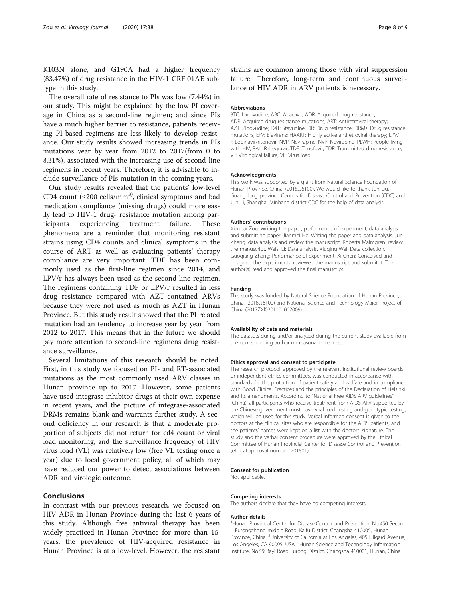K103N alone, and G190A had a higher frequency (83.47%) of drug resistance in the HIV-1 CRF 01AE subtype in this study.

The overall rate of resistance to PIs was low (7.44%) in our study. This might be explained by the low PI coverage in China as a second-line regimen; and since PIs have a much higher barrier to resistance, patients receiving PI-based regimens are less likely to develop resistance. Our study results showed increasing trends in PIs mutations year by year from 2012 to 2017(from 0 to 8.31%), associated with the increasing use of second-line regimens in recent years. Therefore, it is advisable to include surveillance of PIs mutation in the coming years.

Our study results revealed that the patients' low-level CD4 count ( $\leq$ 200 cells/mm<sup>3)</sup>, clinical symptoms and bad medication compliance (missing drugs) could more easily lead to HIV-1 drug- resistance mutation among participants experiencing treatment failure. These phenomena are a reminder that monitoring resistant strains using CD4 counts and clinical symptoms in the course of ART as well as evaluating patients' therapy compliance are very important. TDF has been commonly used as the first-line regimen since 2014, and LPV/r has always been used as the second-line regimen. The regimens containing TDF or LPV/r resulted in less drug resistance compared with AZT-contained ARVs because they were not used as much as AZT in Hunan Province. But this study result showed that the PI related mutation had an tendency to increase year by year from 2012 to 2017. This means that in the future we should pay more attention to second-line regimens drug resistance surveillance.

Several limitations of this research should be noted. First, in this study we focused on PI- and RT-associated mutations as the most commonly used ARV classes in Hunan province up to 2017. However, some patients have used integrase inhibitor drugs at their own expense in recent years, and the picture of integrase-associated DRMs remains blank and warrants further study. A second deficiency in our research is that a moderate proportion of subjects did not return for cd4 count or viral load monitoring, and the surveillance frequency of HIV virus load (VL) was relatively low (free VL testing once a year) due to local government policy, all of which may have reduced our power to detect associations between ADR and virologic outcome.

# Conclusions

In contrast with our previous research, we focused on HIV ADR in Hunan Province during the last 6 years of this study. Although free antiviral therapy has been widely practiced in Hunan Province for more than 15 years, the prevalence of HIV-acquired resistance in Hunan Province is at a low-level. However, the resistant

strains are common among those with viral suppression failure. Therefore, long-term and continuous surveillance of HIV ADR in ARV patients is necessary.

#### Abbreviations

3TC: Lamivudine; ABC: Abacavir; ADR: Acquired drug resistance; ADR: Acquired drug resistance mutations; ART: Antiretroviral therapy; AZT: Zidovudine; D4T: Stavudine; DR: Drug resistance; DRMs: Drug resistance mutations; EFV: Efavirenz; HAART: Highly active antiretroviral therapy; LPV/ r: Lopinavir/ritonovir; NVP: Nevirapine; NVP: Nevirapine; PLWH: People living with HIV; RAL: Raltegravir; TDF: Tenofovir; TDR: Transmitted drug resistance; VF: Virological failure; VL: Virus load

#### Acknowledgments

This work was supported by a grant from Natural Science Foundation of Hunan Province, China. (2018JJ6100). We would like to thank Jun Liu, Guangdong province Centers for Disease Control and Prevention (CDC) and Jun Li, Shanghai Minhang district CDC for the help of data analysis.

#### Authors' contributions

Xiaobai Zou: Writing the paper, performance of experiment, data analysis and submitting paper. Jianmei He: Writing the paper and data analysis. Jun Zheng: data analysis and review the manuscript. Roberta Malmgren: review the manuscript. Weisi Li: Data analysis. Xiuqing Wei: Data collection. Guoqiang Zhang: Performance of experiment. Xi Chen: Conceived and designed the experiments, reviewed the manuscript and submit it. The author(s) read and approved the final manuscript.

#### Funding

This study was funded by Natural Science Foundation of Hunan Province, China. (2018JJ6100) and National Science and Technology Major Project of China (2017ZXl0201101002009).

#### Availability of data and materials

The datasets during and/or analyzed during the current study available from the corresponding author on reasonable request.

#### Ethics approval and consent to participate

The research protocol, approved by the relevant institutional review boards or independent ethics committees, was conducted in accordance with standards for the protection of patient safety and welfare and in compliance with Good Clinical Practices and the principles of the Declaration of Helsinki and its amendments. According to "National Free AIDS ARV guidelines" (China), all participants who receive treatment from AIDS ARV supported by the Chinese government must have viral load testing and genotypic testing, which will be used for this study. Verbal informed consent is given to the doctors at the clinical sites who are responsible for the AIDS patients, and the patients' names were kept on a list with the doctors' signature. The study and the verbal consent procedure were approved by the Ethical Committee of Hunan Provincial Center for Disease Control and Prevention (ethical approval number: 201801).

#### Consent for publication

Not applicable.

#### Competing interests

The authors declare that they have no competing interests.

#### Author details

<sup>1</sup>Hunan Provincial Center for Disease Control and Prevention, No.450 Section 1 Furongzhong middle Road, Kaifu District, Changsha 410005, Hunan Province, China. <sup>2</sup>University of California at Los Angeles, 405 Hilgard Avenue Los Angeles, CA 90095, USA. <sup>3</sup>Hunan Science and Technology Information Institute, No.59 Bayi Road Furong District, Changsha 410001, Hunan, China.